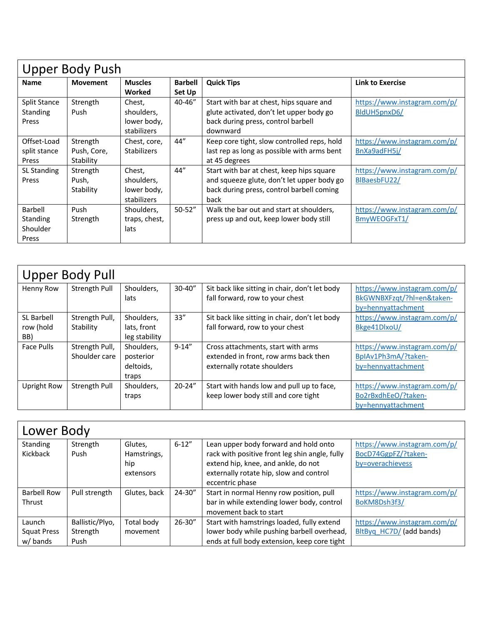| <b>Upper Body Push</b> |                 |                    |                |                                             |                              |  |
|------------------------|-----------------|--------------------|----------------|---------------------------------------------|------------------------------|--|
| <b>Name</b>            | <b>Movement</b> | <b>Muscles</b>     | <b>Barbell</b> | <b>Quick Tips</b>                           | <b>Link to Exercise</b>      |  |
|                        |                 | Worked             | Set Up         |                                             |                              |  |
| <b>Split Stance</b>    | Strength        | Chest,             | 40-46"         | Start with bar at chest, hips square and    | https://www.instagram.com/p/ |  |
| Standing               | Push            | shoulders,         |                | glute activated, don't let upper body go    | BIdUH5pnxD6/                 |  |
| Press                  |                 | lower body,        |                | back during press, control barbell          |                              |  |
|                        |                 | stabilizers        |                | downward                                    |                              |  |
| Offset-Load            | Strength        | Chest, core,       | 44"            | Keep core tight, slow controlled reps, hold | https://www.instagram.com/p/ |  |
| split stance           | Push, Core,     | <b>Stabilizers</b> |                | last rep as long as possible with arms bent | BnXa9adFH5j/                 |  |
| Press                  | Stability       |                    |                | at 45 degrees                               |                              |  |
| <b>SL Standing</b>     | Strength        | Chest,             | 44"            | Start with bar at chest, keep hips square   | https://www.instagram.com/p/ |  |
| Press                  | Push,           | shoulders,         |                | and squeeze glute, don't let upper body go  | BIBaesbFU22/                 |  |
|                        | Stability       | lower body,        |                | back during press, control barbell coming   |                              |  |
|                        |                 | stabilizers        |                | back                                        |                              |  |
| Barbell                | Push            | Shoulders,         | $50 - 52"$     | Walk the bar out and start at shoulders,    | https://www.instagram.com/p/ |  |
| <b>Standing</b>        | Strength        | traps, chest,      |                | press up and out, keep lower body still     | BmyWEOGFxT1/                 |  |
| Shoulder               |                 | lats               |                |                                             |                              |  |
| Press                  |                 |                    |                |                                             |                              |  |

| <b>Upper Body Pull</b>         |                                 |                                               |            |                                                                                                            |                                                                                 |  |  |
|--------------------------------|---------------------------------|-----------------------------------------------|------------|------------------------------------------------------------------------------------------------------------|---------------------------------------------------------------------------------|--|--|
| Henny Row                      | Strength Pull                   | Shoulders,<br>lats                            | $30 - 40"$ | Sit back like sitting in chair, don't let body<br>fall forward, row to your chest                          | https://www.instagram.com/p/<br>BkGWNBXFzqt/?hl=en&taken-<br>by=hennyattachment |  |  |
| SL Barbell<br>row (hold<br>BB) | Strength Pull,<br>Stability     | Shoulders.<br>lats, front<br>leg stability    | 33"        | Sit back like sitting in chair, don't let body<br>fall forward, row to your chest                          | https://www.instagram.com/p/<br>Bkge41DlxoU/                                    |  |  |
| Face Pulls                     | Strength Pull,<br>Shoulder care | Shoulders,<br>posterior<br>deltoids,<br>traps | $9 - 14''$ | Cross attachments, start with arms<br>extended in front, row arms back then<br>externally rotate shoulders | https://www.instagram.com/p/<br>BpIAv1Ph3mA/?taken-<br>by=hennyattachment       |  |  |
| <b>Upright Row</b>             | Strength Pull                   | Shoulders,<br>traps                           | $20 - 24"$ | Start with hands low and pull up to face,<br>keep lower body still and core tight                          | https://www.instagram.com/p/<br>Bo2rBxdhEeO/?taken-<br>by=hennyattachment       |  |  |

| Lower Body         |                 |              |             |                                                |                              |  |  |
|--------------------|-----------------|--------------|-------------|------------------------------------------------|------------------------------|--|--|
| Standing           | Strength        | Glutes,      | $6 - 12"$   | Lean upper body forward and hold onto          | https://www.instagram.com/p/ |  |  |
| Kickback           | Push            | Hamstrings,  |             | rack with positive front leg shin angle, fully | BocD74GgpFZ/?taken-          |  |  |
|                    |                 | hip          |             | extend hip, knee, and ankle, do not            | by=overachievess             |  |  |
|                    |                 | extensors    |             | externally rotate hip, slow and control        |                              |  |  |
|                    |                 |              |             | eccentric phase                                |                              |  |  |
| <b>Barbell Row</b> | Pull strength   | Glutes, back | $24 - 30''$ | Start in normal Henny row position, pull       | https://www.instagram.com/p/ |  |  |
| <b>Thrust</b>      |                 |              |             | bar in while extending lower body, control     | BoKM8Dsh3f3/                 |  |  |
|                    |                 |              |             | movement back to start                         |                              |  |  |
| Launch             | Ballistic/Plyo, | Total body   | 26-30"      | Start with hamstrings loaded, fully extend     | https://www.instagram.com/p/ |  |  |
| <b>Squat Press</b> | Strength        | movement     |             | lower body while pushing barbell overhead,     | BltByq HC7D/ (add bands)     |  |  |
| w/bands            | Push            |              |             | ends at full body extension, keep core tight   |                              |  |  |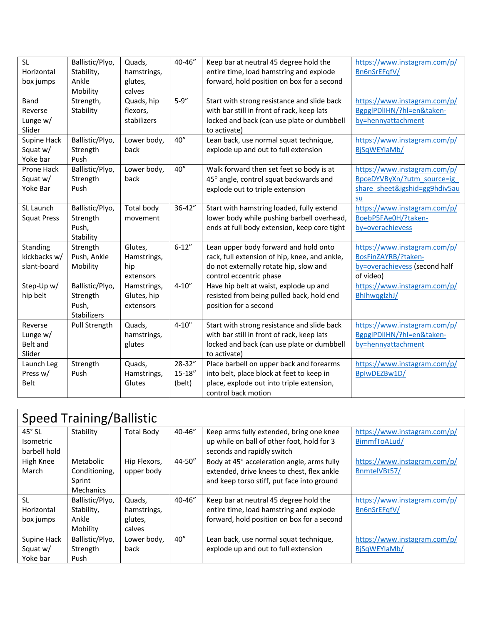| <b>SL</b>          | Ballistic/Plyo, | Quads,      | 40-46"      | Keep bar at neutral 45 degree hold the        | https://www.instagram.com/p/  |
|--------------------|-----------------|-------------|-------------|-----------------------------------------------|-------------------------------|
| Horizontal         | Stability,      | hamstrings, |             | entire time, load hamstring and explode       | Bn6nSrEFqfV/                  |
| box jumps          | Ankle           | glutes,     |             | forward, hold position on box for a second    |                               |
|                    | Mobility        | calves      |             |                                               |                               |
| Band               | Strength,       | Quads, hip  | $5 - 9''$   | Start with strong resistance and slide back   | https://www.instagram.com/p/  |
| Reverse            | Stability       | flexors,    |             | with bar still in front of rack, keep lats    | BgpgIPDIIHN/?hl=en&taken-     |
| Lunge w/           |                 | stabilizers |             | locked and back (can use plate or dumbbell    | by=hennyattachment            |
| Slider             |                 |             |             | to activate)                                  |                               |
| Supine Hack        | Ballistic/Plyo, | Lower body, | 40''        | Lean back, use normal squat technique,        | https://www.instagram.com/p/  |
| Squat w/           | Strength        | back        |             | explode up and out to full extension          | BjSqWEYlaMb/                  |
| Yoke bar           | Push            |             |             |                                               |                               |
| Prone Hack         | Ballistic/Plyo, | Lower body, | 40''        | Walk forward then set feet so body is at      | https://www.instagram.com/p/  |
| Squat w/           | Strength        | back        |             | 45° angle, control squat backwards and        | BpceDYVByXn/?utm_source=ig    |
| Yoke Bar           | Push            |             |             | explode out to triple extension               | share sheet&igshid=gg9hdiv5au |
|                    |                 |             |             |                                               | su                            |
| SL Launch          | Ballistic/Plyo, | Total body  | 36-42"      | Start with hamstring loaded, fully extend     | https://www.instagram.com/p/  |
| <b>Squat Press</b> | Strength        | movement    |             | lower body while pushing barbell overhead,    | BoebP5FAe0H/?taken-           |
|                    | Push,           |             |             | ends at full body extension, keep core tight  | by=overachievess              |
|                    | Stability       |             |             |                                               |                               |
| Standing           | Strength        | Glutes,     | $6 - 12"$   | Lean upper body forward and hold onto         | https://www.instagram.com/p/  |
| kickbacks w/       | Push, Ankle     | Hamstrings, |             | rack, full extension of hip, knee, and ankle, | BosFinZAYRB/?taken-           |
| slant-board        | Mobility        | hip         |             | do not externally rotate hip, slow and        | by=overachievess (second half |
|                    |                 | extensors   |             | control eccentric phase                       | of video)                     |
| Step-Up w/         | Ballistic/Plyo, | Hamstrings, | $4 - 10''$  | Have hip belt at waist, explode up and        | https://www.instagram.com/p/  |
| hip belt           | Strength        | Glutes, hip |             | resisted from being pulled back, hold end     | BhlhwqglzhJ/                  |
|                    | Push,           | extensors   |             | position for a second                         |                               |
|                    | Stabilizers     |             |             |                                               |                               |
| Reverse            | Pull Strength   | Quads,      | $4 - 10"$   | Start with strong resistance and slide back   | https://www.instagram.com/p/  |
| Lunge w/           |                 | hamstrings, |             | with bar still in front of rack, keep lats    | BgpgIPDIIHN/?hl=en&taken-     |
| Belt and           |                 | glutes      |             | locked and back (can use plate or dumbbell    | by=hennyattachment            |
| Slider             |                 |             |             | to activate)                                  |                               |
| Launch Leg         | Strength        | Quads,      | 28-32"      | Place barbell on upper back and forearms      | https://www.instagram.com/p/  |
| Press w/           | Push            | Hamstrings, | $15 - 18''$ | into belt, place block at feet to keep in     | BpIwDEZBw1D/                  |
| <b>Belt</b>        |                 | Glutes      | (belt)      | place, explode out into triple extension,     |                               |
|                    |                 |             |             | control back motion                           |                               |

| <b>Speed Training/Ballistic</b> |                  |                   |        |                                            |                              |  |  |
|---------------------------------|------------------|-------------------|--------|--------------------------------------------|------------------------------|--|--|
| $45^\circ$ SL                   | Stability        | <b>Total Body</b> | 40-46" | Keep arms fully extended, bring one knee   | https://www.instagram.com/p/ |  |  |
| <b>Isometric</b>                |                  |                   |        | up while on ball of other foot, hold for 3 | BimmfToALud/                 |  |  |
| barbell hold                    |                  |                   |        | seconds and rapidly switch                 |                              |  |  |
| High Knee                       | Metabolic        | Hip Flexors,      | 44-50" | Body at 45° acceleration angle, arms fully | https://www.instagram.com/p/ |  |  |
| March                           | Conditioning,    | upper body        |        | extended, drive knees to chest, flex ankle | BnmtelVBt57/                 |  |  |
|                                 | Sprint           |                   |        | and keep torso stiff, put face into ground |                              |  |  |
|                                 | <b>Mechanics</b> |                   |        |                                            |                              |  |  |
| <b>SL</b>                       | Ballistic/Plyo,  | Quads,            | 40-46" | Keep bar at neutral 45 degree hold the     | https://www.instagram.com/p/ |  |  |
| Horizontal                      | Stability,       | hamstrings,       |        | entire time, load hamstring and explode    | Bn6nSrEFqfV/                 |  |  |
| box jumps                       | Ankle            | glutes,           |        | forward, hold position on box for a second |                              |  |  |
|                                 | Mobility         | calves            |        |                                            |                              |  |  |
| Supine Hack                     | Ballistic/Plyo,  | Lower body,       | 40"    | Lean back, use normal squat technique,     | https://www.instagram.com/p/ |  |  |
| Squat w/                        | Strength         | back              |        | explode up and out to full extension       | BiSqWEYlaMb/                 |  |  |
| Yoke bar                        | Push             |                   |        |                                            |                              |  |  |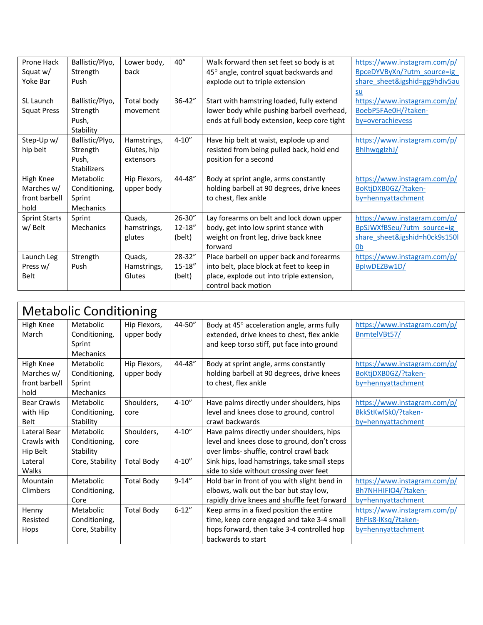| Prone Hack           | Ballistic/Plyo,    | Lower body,  | 40"         | Walk forward then set feet so body is at     | https://www.instagram.com/p/  |
|----------------------|--------------------|--------------|-------------|----------------------------------------------|-------------------------------|
| Squat w/             | Strength           | back         |             | 45° angle, control squat backwards and       | BpceDYVByXn/?utm_source=ig    |
| Yoke Bar             | Push               |              |             | explode out to triple extension              | share sheet&igshid=gg9hdiv5au |
|                      |                    |              |             |                                              | su                            |
| SL Launch            | Ballistic/Plyo,    | Total body   | 36-42"      | Start with hamstring loaded, fully extend    | https://www.instagram.com/p/  |
| <b>Squat Press</b>   | Strength           | movement     |             | lower body while pushing barbell overhead,   | BoebP5FAe0H/?taken-           |
|                      | Push,              |              |             | ends at full body extension, keep core tight | by=overachievess              |
|                      | Stability          |              |             |                                              |                               |
| Step-Up w/           | Ballistic/Plyo,    | Hamstrings,  | $4 - 10''$  | Have hip belt at waist, explode up and       | https://www.instagram.com/p/  |
| hip belt             | Strength           | Glutes, hip  |             | resisted from being pulled back, hold end    | BhlhwqglzhJ/                  |
|                      | Push,              | extensors    |             | position for a second                        |                               |
|                      | <b>Stabilizers</b> |              |             |                                              |                               |
| High Knee            | Metabolic          | Hip Flexors, | 44-48"      | Body at sprint angle, arms constantly        | https://www.instagram.com/p/  |
| Marches w/           | Conditioning,      | upper body   |             | holding barbell at 90 degrees, drive knees   | BoKtjDXB0GZ/?taken-           |
| front barbell        | Sprint             |              |             | to chest, flex ankle                         | by=hennyattachment            |
| hold                 | Mechanics          |              |             |                                              |                               |
| <b>Sprint Starts</b> | Sprint             | Quads,       | 26-30"      | Lay forearms on belt and lock down upper     | https://www.instagram.com/p/  |
| w/ Belt              | <b>Mechanics</b>   | hamstrings,  | $12 - 18''$ | body, get into low sprint stance with        | BpSJWXfBSeu/?utm_source=ig    |
|                      |                    | glutes       | (belt)      | weight on front leg, drive back knee         | share sheet&igshid=h0ck9s150l |
|                      |                    |              |             | forward                                      | 0b                            |
| Launch Leg           | Strength           | Quads,       | 28-32"      | Place barbell on upper back and forearms     | https://www.instagram.com/p/  |
| Press w/             | Push               | Hamstrings,  | 15-18"      | into belt, place block at feet to keep in    | BplwDEZBw1D/                  |
| Belt                 |                    | Glutes       | (belt)      | place, explode out into triple extension,    |                               |
|                      |                    |              |             | control back motion                          |                               |

| <b>Metabolic Conditioning</b> |                 |                   |            |                                              |                              |  |
|-------------------------------|-----------------|-------------------|------------|----------------------------------------------|------------------------------|--|
| High Knee                     | Metabolic       | Hip Flexors,      | 44-50"     | Body at 45° acceleration angle, arms fully   | https://www.instagram.com/p/ |  |
| March                         | Conditioning,   | upper body        |            | extended, drive knees to chest, flex ankle   | BnmtelVBt57/                 |  |
|                               | Sprint          |                   |            | and keep torso stiff, put face into ground   |                              |  |
|                               | Mechanics       |                   |            |                                              |                              |  |
| High Knee                     | Metabolic       | Hip Flexors,      | 44-48"     | Body at sprint angle, arms constantly        | https://www.instagram.com/p/ |  |
| Marches w/                    | Conditioning,   | upper body        |            | holding barbell at 90 degrees, drive knees   | BoKtjDXB0GZ/?taken-          |  |
| front barbell                 | Sprint          |                   |            | to chest, flex ankle                         | by=hennyattachment           |  |
| hold                          | Mechanics       |                   |            |                                              |                              |  |
| <b>Bear Crawls</b>            | Metabolic       | Shoulders,        | $4 - 10''$ | Have palms directly under shoulders, hips    | https://www.instagram.com/p/ |  |
| with Hip                      | Conditioning,   | core              |            | level and knees close to ground, control     | BkkStKwlSk0/?taken-          |  |
| <b>Belt</b>                   | Stability       |                   |            | crawl backwards                              | by=hennyattachment           |  |
| Lateral Bear                  | Metabolic       | Shoulders,        | $4 - 10''$ | Have palms directly under shoulders, hips    |                              |  |
| Crawls with                   | Conditioning,   | core              |            | level and knees close to ground, don't cross |                              |  |
| Hip Belt                      | Stability       |                   |            | over limbs- shuffle, control crawl back      |                              |  |
| Lateral                       | Core, Stability | <b>Total Body</b> | $4 - 10''$ | Sink hips, load hamstrings, take small steps |                              |  |
| Walks                         |                 |                   |            | side to side without crossing over feet      |                              |  |
| Mountain                      | Metabolic       | <b>Total Body</b> | $9 - 14"$  | Hold bar in front of you with slight bend in | https://www.instagram.com/p/ |  |
| Climbers                      | Conditioning,   |                   |            | elbows, walk out the bar but stay low,       | Bh7NHHIFIO4/?taken-          |  |
|                               | Core            |                   |            | rapidly drive knees and shuffle feet forward | by=hennyattachment           |  |
| Henny                         | Metabolic       | <b>Total Body</b> | $6 - 12"$  | Keep arms in a fixed position the entire     | https://www.instagram.com/p/ |  |
| Resisted                      | Conditioning,   |                   |            | time, keep core engaged and take 3-4 small   | BhFls8-lKsq/?taken-          |  |
| Hops                          | Core, Stability |                   |            | hops forward, then take 3-4 controlled hop   | by=hennyattachment           |  |
|                               |                 |                   |            | backwards to start                           |                              |  |